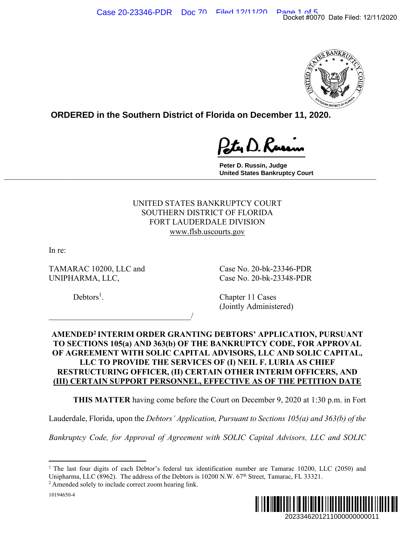

**ORDERED in the Southern District of Florida on December 11, 2020.**

**Peter D. Russin, Judge United States Bankruptcy Court \_\_\_\_\_\_\_\_\_\_\_\_\_\_\_\_\_\_\_\_\_\_\_\_\_\_\_\_\_\_\_\_\_\_\_\_\_\_\_\_\_\_\_\_\_\_\_\_\_\_\_\_\_\_\_\_\_\_\_\_\_\_\_\_\_\_\_\_\_\_\_\_\_\_\_\_\_**

> UNITED STATES BANKRUPTCY COURT SOUTHERN DISTRICT OF FLORIDA FORT LAUDERDALE DIVISION www.flsb.uscourts.gov

In re:

TAMARAC 10200, LLC and Case No. 20-bk-23346-PDR UNIPHARMA, LLC, Case No. 20-bk-23348-PDR

 $\overline{\phantom{a}}$ 

 $Debtors<sup>1</sup>$ .

. Chapter 11 Cases (Jointly Administered)

# **AMENDED2 INTERIM ORDER GRANTING DEBTORS' APPLICATION, PURSUANT TO SECTIONS 105(a) AND 363(b) OF THE BANKRUPTCY CODE, FOR APPROVAL OF AGREEMENT WITH SOLIC CAPITAL ADVISORS, LLC AND SOLIC CAPITAL, LLC TO PROVIDE THE SERVICES OF (I) NEIL F. LURIA AS CHIEF RESTRUCTURING OFFICER, (II) CERTAIN OTHER INTERIM OFFICERS, AND (III) CERTAIN SUPPORT PERSONNEL, EFFECTIVE AS OF THE PETITION DATE**  Docket #0070 Date Filed: 12/11/2020<br>
2022<br>
2022<br>
2022<br>
2022<br>
2022<br>
2023<br>
2023<br>
2023<br>
2023<br>
2023<br>
2023<br>
2023<br>
2023<br>
2023<br>
2023<br>
2023<br>
2023<br>
2023<br>
2020<br>
21 21 130 p.m. in Fort<br>
2020<br>
2020<br>
2020<br>
2020<br>
2020<br>
2020<br>
2020<br>
2020

 **THIS MATTER** having come before the Court on December 9, 2020 at 1:30 p.m. in Fort

Lauderdale, Florida, upon the *Debtors' Application, Pursuant to Sections 105(a) and 363(b) of the* 

*Bankruptcy Code, for Approval of Agreement with SOLIC Capital Advisors, LLC and SOLIC* 



<sup>&</sup>lt;sup>1</sup> The last four digits of each Debtor's federal tax identification number are Tamarac 10200, LLC (2050) and Unipharma, LLC (8962). The address of the Debtors is 10200 N.W. 67<sup>th</sup> Street, Tamarac, FL 33321. <sup>2</sup> Amended solely to include correct zoom hearing link.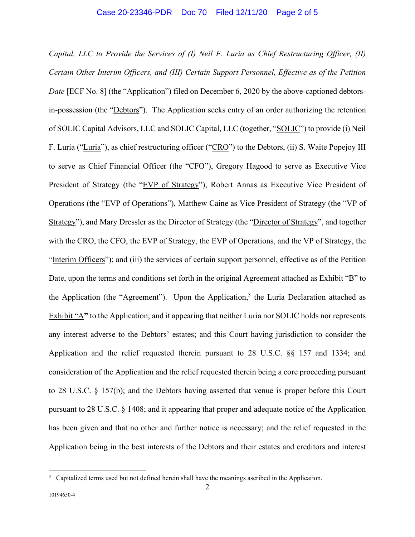*Capital, LLC to Provide the Services of (I) Neil F. Luria as Chief Restructuring Officer, (II) Certain Other Interim Officers, and (III) Certain Support Personnel, Effective as of the Petition Date* [ECF No. 8] (the "*Application*") filed on December 6, 2020 by the above-captioned debtorsin-possession (the "Debtors"). The Application seeks entry of an order authorizing the retention of SOLIC Capital Advisors, LLC and SOLIC Capital, LLC (together, "SOLIC") to provide (i) Neil F. Luria ("Luria"), as chief restructuring officer ("CRO") to the Debtors, (ii) S. Waite Popejoy III to serve as Chief Financial Officer (the "CFO"), Gregory Hagood to serve as Executive Vice President of Strategy (the "EVP of Strategy"), Robert Annas as Executive Vice President of Operations (the "EVP of Operations"), Matthew Caine as Vice President of Strategy (the "VP of Strategy"), and Mary Dressler as the Director of Strategy (the "Director of Strategy", and together with the CRO, the CFO, the EVP of Strategy, the EVP of Operations, and the VP of Strategy, the "Interim Officers"); and (iii) the services of certain support personnel, effective as of the Petition Date, upon the terms and conditions set forth in the original Agreement attached as Exhibit "B" to the Application (the " $\Delta$ greement"). Upon the Application,<sup>3</sup> the Luria Declaration attached as Exhibit "A**"** to the Application; and it appearing that neither Luria nor SOLIC holds nor represents any interest adverse to the Debtors' estates; and this Court having jurisdiction to consider the Application and the relief requested therein pursuant to 28 U.S.C. §§ 157 and 1334; and consideration of the Application and the relief requested therein being a core proceeding pursuant to 28 U.S.C. § 157(b); and the Debtors having asserted that venue is proper before this Court pursuant to 28 U.S.C. § 1408; and it appearing that proper and adequate notice of the Application has been given and that no other and further notice is necessary; and the relief requested in the Application being in the best interests of the Debtors and their estates and creditors and interest

<sup>&</sup>lt;sup>3</sup> Capitalized terms used but not defined herein shall have the meanings ascribed in the Application.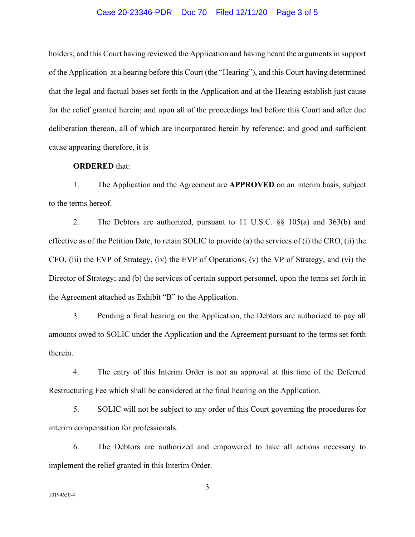## Case 20-23346-PDR Doc 70 Filed 12/11/20 Page 3 of 5

holders; and this Court having reviewed the Application and having heard the arguments in support of the Application at a hearing before this Court (the "Hearing"), and this Court having determined that the legal and factual bases set forth in the Application and at the Hearing establish just cause for the relief granted herein; and upon all of the proceedings had before this Court and after due deliberation thereon, all of which are incorporated herein by reference; and good and sufficient cause appearing therefore, it is

# **ORDERED** that:

1. The Application and the Agreement are **APPROVED** on an interim basis, subject to the terms hereof.

2. The Debtors are authorized, pursuant to 11 U.S.C. §§ 105(a) and 363(b) and effective as of the Petition Date, to retain SOLIC to provide (a) the services of (i) the CRO, (ii) the CFO, (iii) the EVP of Strategy, (iv) the EVP of Operations, (v) the VP of Strategy, and (vi) the Director of Strategy; and (b) the services of certain support personnel, upon the terms set forth in the Agreement attached as Exhibit "B" to the Application.

3. Pending a final hearing on the Application, the Debtors are authorized to pay all amounts owed to SOLIC under the Application and the Agreement pursuant to the terms set forth therein.

4. The entry of this Interim Order is not an approval at this time of the Deferred Restructuring Fee which shall be considered at the final hearing on the Application.

5. SOLIC will not be subject to any order of this Court governing the procedures for interim compensation for professionals.

6. The Debtors are authorized and empowered to take all actions necessary to implement the relief granted in this Interim Order.

3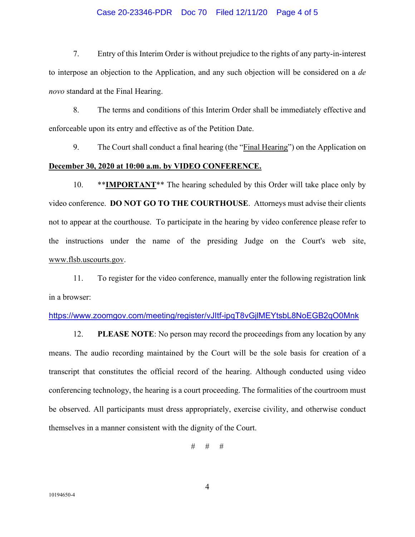### Case 20-23346-PDR Doc 70 Filed 12/11/20 Page 4 of 5

7. Entry of this Interim Order is without prejudice to the rights of any party-in-interest to interpose an objection to the Application, and any such objection will be considered on a *de novo* standard at the Final Hearing.

8. The terms and conditions of this Interim Order shall be immediately effective and enforceable upon its entry and effective as of the Petition Date.

9. The Court shall conduct a final hearing (the "Final Hearing") on the Application on **December 30, 2020 at 10:00 a.m. by VIDEO CONFERENCE.** 

10. \*\***IMPORTANT**\*\* The hearing scheduled by this Order will take place only by video conference. **DO NOT GO TO THE COURTHOUSE**. Attorneys must advise their clients not to appear at the courthouse. To participate in the hearing by video conference please refer to the instructions under the name of the presiding Judge on the Court's web site, www.flsb.uscourts.gov.

11. To register for the video conference, manually enter the following registration link in a browser:

# https://www.zoomgov.com/meeting/register/vJItf-ipqT8vGjlMEYtsbL8NoEGB2qO0Mnk

12. **PLEASE NOTE**: No person may record the proceedings from any location by any means. The audio recording maintained by the Court will be the sole basis for creation of a transcript that constitutes the official record of the hearing. Although conducted using video conferencing technology, the hearing is a court proceeding. The formalities of the courtroom must be observed. All participants must dress appropriately, exercise civility, and otherwise conduct themselves in a manner consistent with the dignity of the Court.

# # #